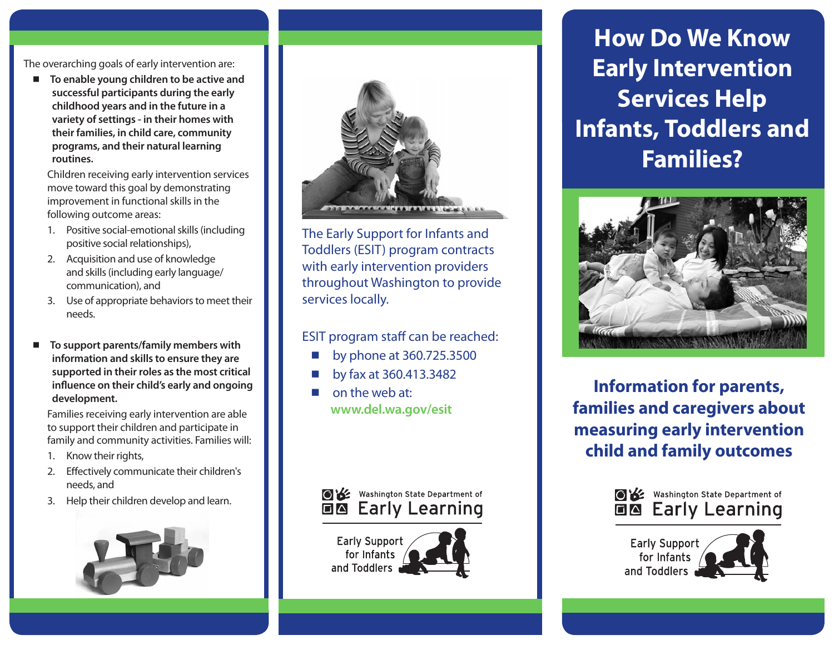The overarching goals of early intervention are:

■ To enable young children to be active and **successful participants during the early childhood years and in the future in a variety of settings - in their homes with their families, in child care, community programs, and their natural learning routines.** 

Children receiving early intervention services move toward this goal by demonstrating improvement in functional skills in the following outcome areas:

- 1. Positive social-emotional skills (including positive social relationships),
- 2. Acquisition and use of knowledge and skills (including early language/ communication), and
- 3. Use of appropriate behaviors to meet their needs.
- To support parents/family members with **information and skills to ensure they are supported in their roles as the most critical influence on their child's early and ongoing development.**

Families receiving early intervention are able to support their children and participate in family and community activities. Families will:

- 1. Know their rights,
- 2. Effectively communicate their children's needs, and
- 3. Help their children develop and learn.





The Early Support for Infants and Toddlers (ESIT) program contracts with early intervention providers throughout Washington to provide services locally.

ESIT program staff can be reached:

- by phone at 360.725.3500
- by fax at 360.413.3482
- on the web at: **www.del.wa.gov/esit**



**Early Support** for Infants and Toddlers

**How Do We Know Early Intervention Services Help Infants, Toddlers and Families?**



**Information for parents, families and caregivers about measuring early intervention child and family outcomes**